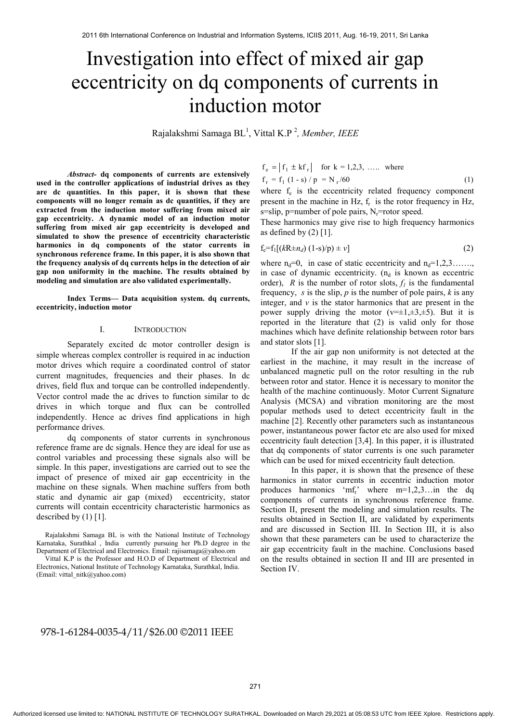# Investigation into effect of mixed air gap eccentricity on dq components of currents in induction motor

Rajalakshmi Samaga BL1 , Vittal K.P 2 *, Member, IEEE* 

*Abstract-* **dq components of currents are extensively used in the controller applications of industrial drives as they are dc quantities. In this paper, it is shown that these components will no longer remain as dc quantities, if they are extracted from the induction motor suffering from mixed air gap eccentricity. A dynamic model of an induction motor suffering from mixed air gap eccentricity is developed and simulated to show the presence of eccentricity characteristic harmonics in dq components of the stator currents in synchronous reference frame. In this paper, it is also shown that the frequency analysis of dq currents helps in the detection of air gap non uniformity in the machine. The results obtained by modeling and simulation are also validated experimentally.** 

**Index Terms— Data acquisition system. dq currents, eccentricity, induction motor** 

### I. INTRODUCTION

Separately excited dc motor controller design is simple whereas complex controller is required in ac induction motor drives which require a coordinated control of stator current magnitudes, frequencies and their phases. In dc drives, field flux and torque can be controlled independently. Vector control made the ac drives to function similar to dc drives in which torque and flux can be controlled independently. Hence ac drives find applications in high performance drives.

dq components of stator currents in synchronous reference frame are dc signals. Hence they are ideal for use as control variables and processing these signals also will be simple. In this paper, investigations are carried out to see the impact of presence of mixed air gap eccentricity in the machine on these signals. When machine suffers from both static and dynamic air gap (mixed) eccentricity, stator currents will contain eccentricity characteristic harmonics as described by  $(1)$  [1].

Rajalakshmi Samaga BL is with the National Institute of Technology Karnataka, Surathkal , India currently pursuing her Ph.D degree in the Department of Electrical and Electronics. Email: rajisamaga@yahoo.om

Vittal K.P is the Professor and H.O.D of Department of Electrical and Electronics, National Institute of Technology Karnataka, Surathkal, India. (Email: vittal\_nitk@yahoo.com)

 $f_r = f_1 (1 - s) / p = N_r / 60$  (1)  $f_e = |f_1 \pm kf_r|$  for  $k = 1,2,3, \ldots$  where

where  $f_e$  is the eccentricity related frequency component present in the machine in Hz,  $f_r$  is the rotor frequency in Hz, s=slip, p=number of pole pairs,  $N_r$ =rotor speed.

These harmonics may give rise to high frequency harmonics as defined by  $(2)$  [1].

$$
f_e = f_1[(kR \pm n_d) (1 - s)/p) \pm \nu]
$$
 (2)

where  $n_d=0$ , in case of static eccentricity and  $n_d=1,2,3,...$ ... in case of dynamic eccentricity.  $(n_d$  is known as eccentric order), *R* is the number of rotor slots,  $f_1$  is the fundamental frequency, *s* is the slip, *p* is the number of pole pairs, *k* is any integer, and  $\nu$  is the stator harmonics that are present in the power supply driving the motor  $(v=\pm 1,\pm 3,\pm 5)$ . But it is reported in the literature that (2) is valid only for those machines which have definite relationship between rotor bars and stator slots [1].

If the air gap non uniformity is not detected at the earliest in the machine, it may result in the increase of unbalanced magnetic pull on the rotor resulting in the rub between rotor and stator. Hence it is necessary to monitor the health of the machine continuously. Motor Current Signature Analysis (MCSA) and vibration monitoring are the most popular methods used to detect eccentricity fault in the machine [2]. Recently other parameters such as instantaneous power, instantaneous power factor etc are also used for mixed eccentricity fault detection [3,4]. In this paper, it is illustrated that dq components of stator currents is one such parameter which can be used for mixed eccentricity fault detection.

In this paper, it is shown that the presence of these harmonics in stator currents in eccentric induction motor produces harmonics 'mf<sub>r</sub>' where  $m=1,2,3...$  in the dq components of currents in synchronous reference frame. Section II, present the modeling and simulation results. The results obtained in Section II, are validated by experiments and are discussed in Section III. In Section III, it is also shown that these parameters can be used to characterize the air gap eccentricity fault in the machine. Conclusions based on the results obtained in section II and III are presented in Section IV.

# 978-1-61284-0035-4/11/\$26.00 ©2011 IEEE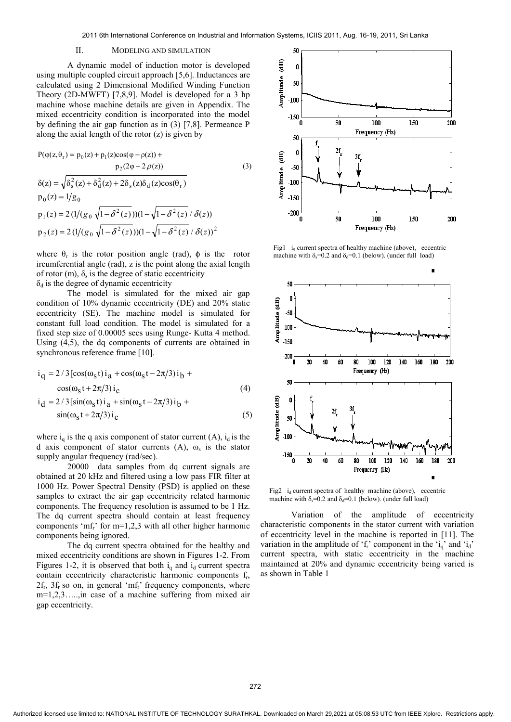# II. MODELING AND SIMULATION

A dynamic model of induction motor is developed using multiple coupled circuit approach [5,6]. Inductances are calculated using 2 Dimensional Modified Winding Function Theory (2D-MWFT) [7,8,9]. Model is developed for a 3 hp machine whose machine details are given in Appendix. The mixed eccentricity condition is incorporated into the model by defining the air gap function as in (3) [7,8]. Permeance P along the axial length of the rotor (z) is given by

$$
P(\varphi(z, \theta_r) = p_0(z) + p_1(z)\cos(\varphi - \rho(z)) + p_2(2\varphi - 2\rho(z))
$$
\n(3)

$$
\delta(z) = \sqrt{\delta_s^2(z) + \delta_d^2(z) + 2\delta_s(z)\delta_d(z)\cos(\theta_r)}
$$
  
\n
$$
p_0(z) = 1/g_0
$$
  
\n
$$
p_1(z) = 2(1/(g_0 \sqrt{1 - \delta^2(z)}))(1 - \sqrt{1 - \delta^2(z)} / \delta(z))
$$
  
\n
$$
p_2(z) = 2(1/(g_0 \sqrt{1 - \delta^2(z)}))(1 - \sqrt{1 - \delta^2(z)} / \delta(z))^2
$$

where  $\theta_r$  is the rotor position angle (rad),  $\phi$  is the rotor ircumferential angle (rad), z is the point along the axial length of rotor (m),  $\delta_s$  is the degree of static eccentricity  $\delta_d$  is the degree of dynamic eccentricity

The model is simulated for the mixed air gap condition of 10% dynamic eccentricity (DE) and 20% static eccentricity (SE). The machine model is simulated for constant full load condition. The model is simulated for a fixed step size of 0.00005 secs using Runge- Kutta 4 method. Using (4,5), the dq components of currents are obtained in synchronous reference frame [10].

$$
i_{q} = 2/3[\cos(\omega_{s}t)i_{a} + \cos(\omega_{s}t - 2\pi/3)i_{b} + \cos(\omega_{s}t + 2\pi/3)i_{c}] \qquad (4)
$$
  
\n
$$
i_{d} = 2/3[\sin(\omega_{s}t)i_{a} + \sin(\omega_{s}t - 2\pi/3)i_{b} + \sin(\omega_{s}t + 2\pi/3)i_{c}] \qquad (5)
$$

where  $i_a$  is the q axis component of stator current (A),  $i_d$  is the d axis component of stator currents (A),  $\omega_s$  is the stator supply angular frequency (rad/sec).

20000 data samples from dq current signals are obtained at 20 kHz and filtered using a low pass FIR filter at 1000 Hz. Power Spectral Density (PSD) is applied on these samples to extract the air gap eccentricity related harmonic components. The frequency resolution is assumed to be 1 Hz. The dq current spectra should contain at least frequency components 'mf<sub>r</sub>' for  $m=1,2,3$  with all other higher harmonic components being ignored.

The dq current spectra obtained for the healthy and mixed eccentricity conditions are shown in Figures 1-2. From Figures 1-2, it is observed that both  $i_q$  and  $i_d$  current spectra contain eccentricity characteristic harmonic components fr,  $2f_r$ ,  $3f_r$  so on, in general 'mf<sub>r</sub>' frequency components, where m=1,2,3…..,in case of a machine suffering from mixed air gap eccentricity.



Fig1  $i_q$  current spectra of healthy machine (above), eccentric machine with  $\delta_s = 0.2$  and  $\delta_d = 0.1$  (below). (under full load)



Fig2  $i_d$  current spectra of healthy machine (above), eccentric machine with  $\delta_s = 0.2$  and  $\delta_d = 0.1$  (below). (under full load)

Variation of the amplitude of eccentricity characteristic components in the stator current with variation of eccentricity level in the machine is reported in [11]. The variation in the amplitude of ' $f_r$ ' component in the 'i<sub>q</sub>' and 'i<sub>d</sub>' current spectra, with static eccentricity in the machine maintained at 20% and dynamic eccentricity being varied is as shown in Table 1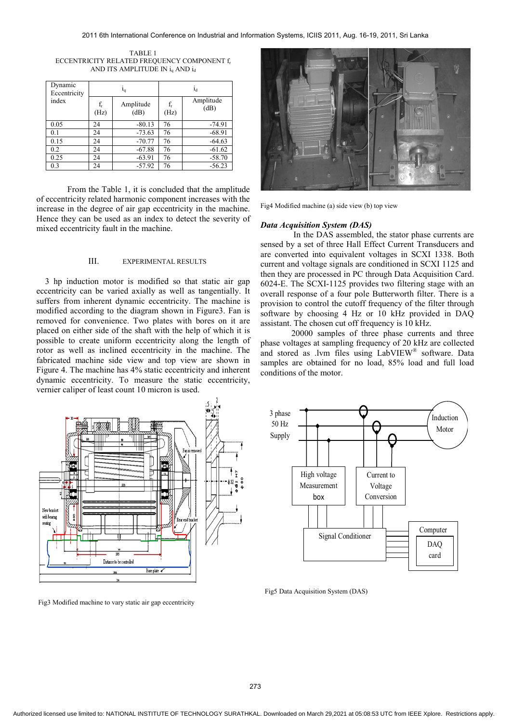| TABLE 1                                     |
|---------------------------------------------|
| ECCENTRICITY RELATED FREQUENCY COMPONENT f, |
| AND ITS AMPLITUDE IN $i_q$ AND $i_d$        |

| Dynamic<br>Eccentricity | 1 <sub>q</sub> |                   | 1 <sub>d</sub> |                   |  |
|-------------------------|----------------|-------------------|----------------|-------------------|--|
| index                   | $f_r$<br>(Hz)  | Amplitude<br>(dB) | $f_r$<br>(Hz)  | Amplitude<br>(dB) |  |
| 0.05                    | 24             | $-80.13$          | 76             | $-74.91$          |  |
| 0.1                     | 24             | $-73.63$          | 76             | $-68.91$          |  |
| 0.15                    | 24             | $-70.77$          | 76             | $-64.63$          |  |
| 0.2                     | 24             | $-67.88$          | 76             | $-61.62$          |  |
| 0.25                    | 24             | $-63.91$          | 76             | $-58.70$          |  |
| 0.3                     | 24             | $-57.92$          | 76             | $-56.23$          |  |

From the Table 1, it is concluded that the amplitude of eccentricity related harmonic component increases with the increase in the degree of air gap eccentricity in the machine. Hence they can be used as an index to detect the severity of mixed eccentricity fault in the machine.

# III. EXPERIMENTAL RESULTS

3 hp induction motor is modified so that static air gap eccentricity can be varied axially as well as tangentially. It suffers from inherent dynamic eccentricity. The machine is modified according to the diagram shown in Figure3. Fan is removed for convenience. Two plates with bores on it are placed on either side of the shaft with the help of which it is possible to create uniform eccentricity along the length of rotor as well as inclined eccentricity in the machine. The fabricated machine side view and top view are shown in Figure 4. The machine has 4% static eccentricity and inherent dynamic eccentricity. To measure the static eccentricity, vernier caliper of least count 10 micron is used.



are converted into equivalent voltages in SCXI 1338. Both current and voltage signals are conditioned in SCXI 1125 and then they are processed in PC through Data Acquisition Card. 6024-E. The SCXI-1125 provides two filtering stage with an overall response of a four pole Butterworth filter. There is a provision to control the cutoff frequency of the filter through software by choosing 4 Hz or 10 kHz provided in DAQ assistant. The chosen cut off frequency is 10 kHz.

 20000 samples of three phase currents and three phase voltages at sampling frequency of 20 kHz are collected and stored as .lvm files using LabVIEW® software. Data samples are obtained for no load, 85% load and full load conditions of the motor.





Fig5 Data Acquisition System (DAS)

Fig3 Modified machine to vary static air gap eccentricity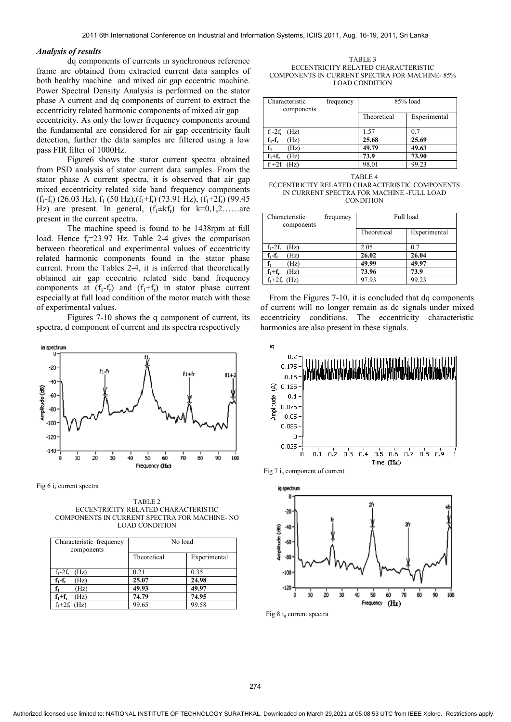## *Analysis of results*

 dq components of currents in synchronous reference frame are obtained from extracted current data samples of both healthy machine and mixed air gap eccentric machine. Power Spectral Density Analysis is performed on the stator phase A current and dq components of current to extract the eccentricity related harmonic components of mixed air gap eccentricity. As only the lower frequency components around the fundamental are considered for air gap eccentricity fault detection, further the data samples are filtered using a low pass FIR filter of 1000Hz.

Figure6 shows the stator current spectra obtained from PSD analysis of stator current data samples. From the stator phase A current spectra, it is observed that air gap mixed eccentricity related side band frequency components  $(f_1-f_r)$  (26.03 Hz),  $f_1$  (50 Hz), $(f_1+f_r)$  (73.91 Hz),  $(f_1+2f_r)$  (99.45 Hz) are present. In general,  $(f_1 \pm kf_r)$  for  $k=0,1,2,\ldots$  are present in the current spectra.

The machine speed is found to be 1438rpm at full load. Hence  $f_r = 23.97$  Hz. Table 2-4 gives the comparison between theoretical and experimental values of eccentricity related harmonic components found in the stator phase current. From the Tables 2-4, it is inferred that theoretically obtained air gap eccentric related side band frequency components at  $(f_1-f_r)$  and  $(f_1+f_r)$  in stator phase current especially at full load condition of the motor match with those of experimental values.

Figures 7-10 shows the q component of current, its spectra, d component of current and its spectra respectively



Fig 6 ia current spectra

TABLE 2 ECCENTRICITY RELATED CHARACTERISTIC COMPONENTS IN CURRENT SPECTRA FOR MACHINE- NO LOAD CONDITION

| Characteristic frequency<br>components | No load     |              |  |
|----------------------------------------|-------------|--------------|--|
|                                        | Theoretical | Experimental |  |
| $f_1-2f_r$ (Hz)                        | 0.21        | 0.35         |  |
| $f_1 - f_r$<br>Hz)                     | 25.07       | 24.98        |  |
| (Hz)                                   | 49.93       | 49.97        |  |
| $f_1+f_r$<br>(Hz)                      | 74.79       | 74.95        |  |
| $f_1+2f_r$ (Hz)                        | 99.65       | 99.58        |  |

TABLE 3 ECCENTRICITY RELATED CHARACTERISTIC COMPONENTS IN CURRENT SPECTRA FOR MACHINE- 85% LOAD CONDITION

| Characteristic<br>components | frequency | 85% load    |              |
|------------------------------|-----------|-------------|--------------|
|                              |           | Theoretical | Experimental |
| $f_1-2f_r$<br>(Hz)           |           | 1.57        | 07           |
| $f_1 - f_r$<br>Hz)           |           | 25.68       | 25.69        |
| (Hz)                         |           | 49.79       | 49.63        |
| $f_1+f_r$<br>Hz)             |           | 73.9        | 73.90        |
| $f_1+2f_r$ (Hz)              |           | 98.01       | 99.23        |

TABLE 4

ECCENTRICITY RELATED CHARACTERISTIC COMPONENTS IN CURRENT SPECTRA FOR MACHINE -FULL LOAD **CONDITION** 

| Characteristic<br>components | frequency | Full load   |              |
|------------------------------|-----------|-------------|--------------|
|                              |           | Theoretical | Experimental |
| $f_1-2f_r$<br>(Hz)           |           | 2.05        | 0.7          |
| $f_1 - f_r$<br>(Hz)          |           | 26.02       | 26.04        |
| (Hz)                         |           | 49.99       | 49.97        |
| $f_1+f_r$<br>Hz)             |           | 73.96       | 73.9         |
| $f_1 + 2f_r$ (Hz)            |           | 97.93       | 99.23        |

From the Figures 7-10, it is concluded that dq components of current will no longer remain as dc signals under mixed eccentricity conditions. The eccentricity characteristic harmonics are also present in these signals.







Fig 8 i<sub>q</sub> current spectra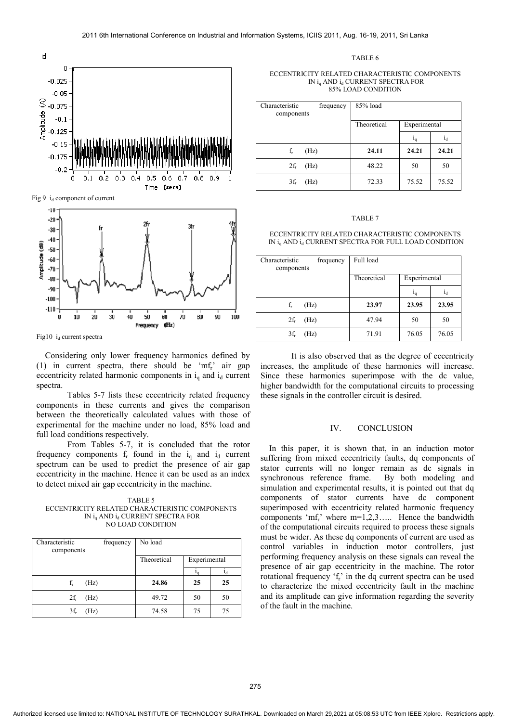

Fig 9 id component of current



Fig10  $i_d$  current spectra

Considering only lower frequency harmonics defined by (1) in current spectra, there should be 'mfr' air gap eccentricity related harmonic components in  $i_a$  and  $i_d$  current spectra.

Tables 5-7 lists these eccentricity related frequency components in these currents and gives the comparison between the theoretically calculated values with those of experimental for the machine under no load, 85% load and full load conditions respectively.

From Tables 5-7, it is concluded that the rotor frequency components  $f_r$  found in the  $i_q$  and  $i_d$  current spectrum can be used to predict the presence of air gap eccentricity in the machine. Hence it can be used as an index to detect mixed air gap eccentricity in the machine.

TABLE 5 ECCENTRICITY RELATED CHARACTERISTIC COMPONENTS IN iq AND id CURRENT SPECTRA FOR NO LOAD CONDITION

| Characteristic<br>components | frequency | No load     |              |                |
|------------------------------|-----------|-------------|--------------|----------------|
|                              |           | Theoretical | Experimental |                |
|                              |           |             |              | 1 <sub>d</sub> |
| (Hz)<br>$f_r$                |           | 24.86       | 25           | 25             |
| $2f_r$<br>(Hz)               |           | 49.72       | 50           | 50             |
| (Hz)<br>$3f_r$               |           | 74.58       | 75           | 75             |

TABLE 6

#### ECCENTRICITY RELATED CHARACTERISTIC COMPONENTS IN i<sub>a</sub> AND i<sub>d</sub> CURRENT SPECTRA FOR 85% LOAD CONDITION

| Characteristic<br>frequency<br>components | 85% load    |              |                |
|-------------------------------------------|-------------|--------------|----------------|
|                                           | Theoretical | Experimental |                |
|                                           |             | ı,           | 1 <sub>d</sub> |
| $f_r$<br>(Hz)                             | 24.11       | 24.21        | 24.21          |
| $2f_r$<br>(Hz)                            | 48.22       | 50           | 50             |
| (Hz)<br>$3f_r$                            | 72.33       | 75.52        | 75.52          |

#### TABLE 7

ECCENTRICITY RELATED CHARACTERISTIC COMPONENTS IN i<sub>g</sub> AND i<sub>d</sub> CURRENT SPECTRA FOR FULL LOAD CONDITION

| Characteristic<br>frequency<br>components | Full load   |                |                |
|-------------------------------------------|-------------|----------------|----------------|
|                                           | Theoretical | Experimental   |                |
|                                           |             | 1 <sub>q</sub> | 1 <sub>d</sub> |
| $f_r$<br>(Hz)                             | 23.97       | 23.95          | 23.95          |
| $2f_r$<br>(Hz)                            | 47.94       | 50             | 50             |
| (Hz)<br>$3f_r$                            | 71.91       | 76.05          | 76.05          |

It is also observed that as the degree of eccentricity increases, the amplitude of these harmonics will increase. Since these harmonics superimpose with the dc value, higher bandwidth for the computational circuits to processing these signals in the controller circuit is desired.

# IV. CONCLUSION

In this paper, it is shown that, in an induction motor suffering from mixed eccentricity faults, dq components of stator currents will no longer remain as dc signals in synchronous reference frame. By both modeling and simulation and experimental results, it is pointed out that dq components of stator currents have dc component superimposed with eccentricity related harmonic frequency components 'mf<sub>r</sub>' where  $m=1,2,3,...$ . Hence the bandwidth of the computational circuits required to process these signals must be wider. As these dq components of current are used as control variables in induction motor controllers, just performing frequency analysis on these signals can reveal the presence of air gap eccentricity in the machine. The rotor rotational frequency  $f_r$  in the dq current spectra can be used to characterize the mixed eccentricity fault in the machine and its amplitude can give information regarding the severity of the fault in the machine.